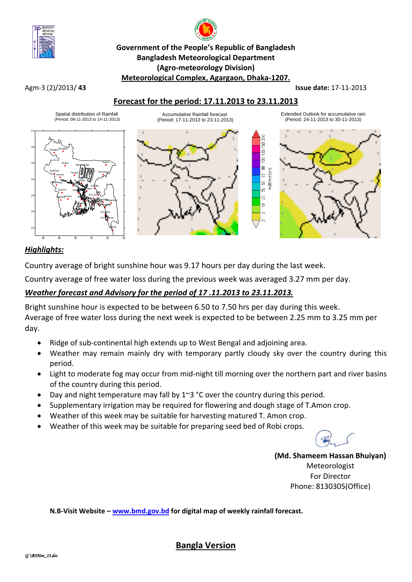

# **Government of the People's Republic of Bangladesh Bangladesh Meteorological Department (Agro-meteorology Division) Meteorological Complex, Agargaon, Dhaka-1207.**

#### Agm-3 (2)/2013/ **43 Issue date:** 17-11-2013

## **Forecast for the period: 17.11.2013 to 23.11.2013**



## *Highlights:*

Country average of bright sunshine hour was 9.17 hours per day during the last week.

Country average of free water loss during the previous week was averaged 3.27 mm per day.

## *Weather forecast and Advisory for the period of 17 .11.2013 to 23.11.2013.*

Bright sunshine hour is expected to be between 6.50 to 7.50 hrs per day during this week. Average of free water loss during the next week is expected to be between 2.25 mm to 3.25 mm per day.

- Ridge of sub-continental high extends up to West Bengal and adjoining area.
- Weather may remain mainly dry with temporary partly cloudy sky over the country during this period.
- Light to moderate fog may occur from mid-night till morning over the northern part and river basins of the country during this period.
- Day and night temperature may fall by 1~3 °C over the country during this period.
- Supplementary irrigation may be required for flowering and dough stage of T.Amon crop.
- Weather of this week may be suitable for harvesting matured T. Amon crop.
- Weather of this week may be suitable for preparing seed bed of Robi crops.

**(Md. Shameem Hassan Bhuiyan)** Meteorologist For Director Phone: 8130305(Office)

**N.B-Visit Website – [www.bmd.gov.bd](http://www.bmd.gov.bd/) for digital map of weekly rainfall forecast.**

**Bangla Version**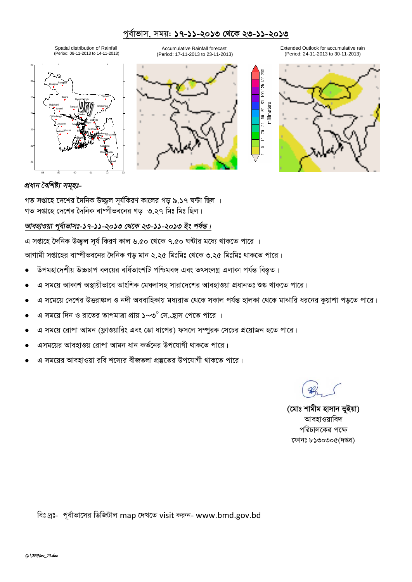## পূর্বাভাস, সময়: ১৭-১১-২০১৩ থেকে ২৩-১১-২০১৩

Spatial distribution of Rainfall (Period: 08-11-2013 to 14-11-2013)

Accumulative Rainfall forecast (Period: 17-11-2013 to 23-11-2013)







150 200  $125 \overline{5}$  $\mathbbmss{S}$ 

65  $\mathbb S$ g  $\mathbb{S}$  $\equiv$ 



## প্ৰধান বৈশিষ্ট্য সমূহঃ-

গত সপ্তাহে দেশের দৈনিক উজ্জুল সূর্যকিরণ কালের গড় ৯.১৭ ঘন্টা ছিল । গত সপ্তাহে দেশের দৈনিক বাষ্পীভবনের গড ৩.২৭ মিঃ মিঃ ছিল।

#### আবহাওয়া পুর্বাভাসঃ-১৭-১১-২০১৩ থেকে ২৩-১১-২০১৩ ইং পর্যন্ত।

এ সপ্তাহে দৈনিক উজ্জল সূর্য কিরণ কাল ৬.৫০ থেকে ৭.৫০ ঘন্টার মধ্যে থাকতে পারে ।

আগামী সপ্তাহের বাষ্পীভবনের দৈনিক গড় মান ২.২৫ মিঃমিঃ থেকে ৩.২৫ মিঃমিঃ থাকতে পারে।

- উপমহাদেশীয় উচ্চচাপ বলয়ের বর্ধিতাংশটি পশ্চিমবঙ্গ এবং তৎসংলগ্ন এলাকা পর্যন্ত বিস্তৃত।
- এ সময়ে আকাশ অস্থায়ীভাবে আংশিক মেঘলাসহ সারাদেশের আবহাওয়া প্রধানতঃ শুষ্ক থাকতে পারে।
- এ সমেয়ে দেশের উত্তরাঞ্চল ও নদী অববাহিকায় মধ্যরাত থেকে সকাল পর্যন্ত হালকা থেকে মাঝারি ধরনের কয়াশা পডতে পারে।
- এ সময়ে দিন ও রাতের তাপমাত্রা প্রায় ১~৩° সে.হ্রাস পেতে পারে ।
- এ সময়ে রোপা আমন (ফ্লাওয়ারিং এবং ডো ধাপের) ফসলে সম্পুরক সেচের প্রয়োজন হতে পারে।
- এসময়ের আবহাওয় রোপা আমন ধান কর্তনের উপযোগী থাকতে পারে।
- এ সময়ের আবহাওয়া রবি শসোর বীজতলা প্রস্কৃতের উপযোগী থাকতে পারে।

(মোঃ শামীম হাসান ভূইয়া) আবহাওয়াবিদ পরিচালকের পক্ষে ফোনঃ ৮১৩০৩০৫(দপ্তর)

বিঃ দ্রঃ- পূর্বাভাসের ডিজিটাল map দেখতে visit করুন- www.bmd.gov.bd